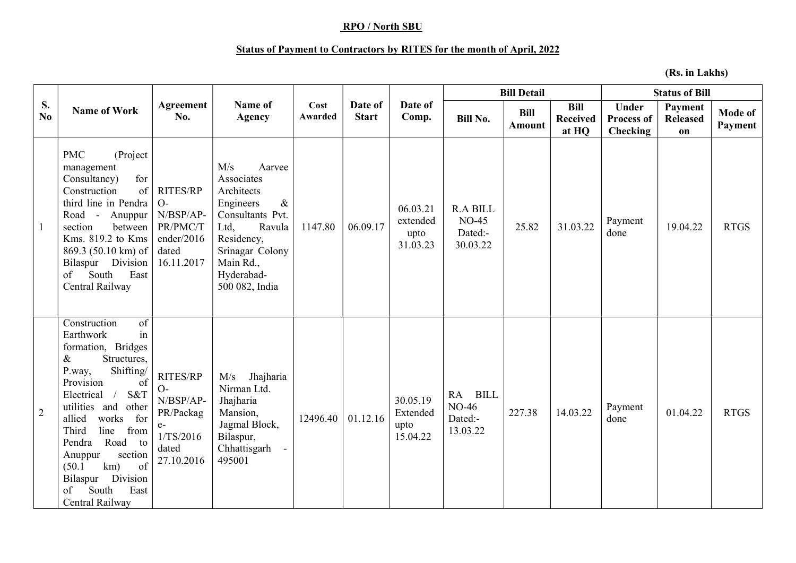## RPO / North SBU

## Status of Payment to Contractors by RITES for the month of April, 2022

(Rs. in Lakhs)

| S.<br>No.      | <b>Name of Work</b>                                                                                                                                                                                                                                                                                                                                                           | Agreement<br>No.                                                                       | Name of<br><b>Agency</b>                                                                                                                                                           | Cost<br>Awarded | Date of<br><b>Start</b> | Date of<br>Comp.                         | <b>Bill Detail</b>                                |                              |                                         | <b>Status of Bill</b>                                |                                  |                    |
|----------------|-------------------------------------------------------------------------------------------------------------------------------------------------------------------------------------------------------------------------------------------------------------------------------------------------------------------------------------------------------------------------------|----------------------------------------------------------------------------------------|------------------------------------------------------------------------------------------------------------------------------------------------------------------------------------|-----------------|-------------------------|------------------------------------------|---------------------------------------------------|------------------------------|-----------------------------------------|------------------------------------------------------|----------------------------------|--------------------|
|                |                                                                                                                                                                                                                                                                                                                                                                               |                                                                                        |                                                                                                                                                                                    |                 |                         |                                          | <b>Bill No.</b>                                   | <b>Bill</b><br><b>Amount</b> | <b>Bill</b><br><b>Received</b><br>at HQ | <b>Under</b><br><b>Process of</b><br><b>Checking</b> | Payment<br><b>Released</b><br>on | Mode of<br>Payment |
| -1             | <b>PMC</b><br>(Project<br>management<br>for<br>Consultancy)<br>of<br>Construction<br>third line in Pendra<br>Road - Anuppur<br>section<br>between<br>Kms. 819.2 to Kms<br>869.3 (50.10 km) of<br>Bilaspur Division<br>South<br>East<br>of<br>Central Railway                                                                                                                  | <b>RITES/RP</b><br>$O-$<br>N/BSP/AP-<br>PR/PMC/T<br>ender/2016<br>dated<br>16.11.2017  | M/s<br>Aarvee<br>Associates<br>Architects<br>$\&$<br>Engineers<br>Consultants Pvt.<br>Ltd,<br>Ravula<br>Residency,<br>Srinagar Colony<br>Main Rd.,<br>Hyderabad-<br>500 082, India | 1147.80         | 06.09.17                | 06.03.21<br>extended<br>upto<br>31.03.23 | <b>R.A BILL</b><br>$NO-45$<br>Dated:-<br>30.03.22 | 25.82                        | 31.03.22                                | Payment<br>done                                      | 19.04.22                         | <b>RTGS</b>        |
| $\overline{2}$ | of<br>Construction<br>in<br>Earthwork<br>formation, Bridges<br>Structures,<br>&<br>Shifting/<br>P.way,<br>Provision<br>of<br>S&T<br>Electrical<br>$\sqrt{2}$<br>utilities and<br>other<br>allied<br>works<br>for<br>line<br>Third<br>from<br>Pendra<br>Road to<br>section<br>Anuppur<br>of<br>km)<br>(50.1)<br>Bilaspur<br>Division<br>East<br>of<br>South<br>Central Railway | RITES/RP<br>$O-$<br>N/BSP/AP-<br>PR/Packag<br>$e-$<br>1/TS/2016<br>dated<br>27.10.2016 | Jhajharia<br>M/s<br>Nirman Ltd.<br>Jhajharia<br>Mansion,<br>Jagmal Block,<br>Bilaspur,<br>Chhattisgarh<br>495001                                                                   | 12496.40        | 01.12.16                | 30.05.19<br>Extended<br>upto<br>15.04.22 | RA BILL<br><b>NO-46</b><br>Dated:-<br>13.03.22    | 227.38                       | 14.03.22                                | Payment<br>done                                      | 01.04.22                         | <b>RTGS</b>        |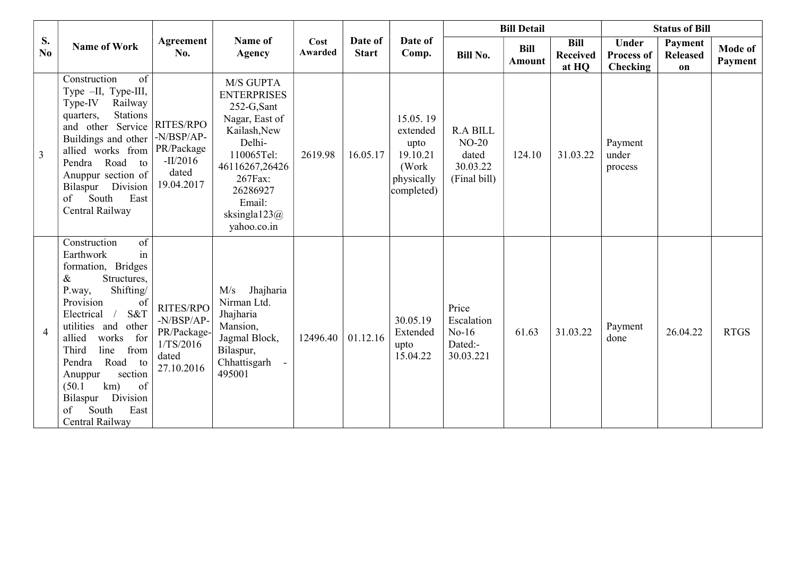|                | <b>Name of Work</b>                                                                                                                                                                                                                                                                                                                                                                 | Agreement<br>No.                                                              | Name of<br><b>Agency</b>                                                                                                                                                                     | Cost<br>Awarded | Date of<br><b>Start</b> | Date of<br>Comp.                                                               | <b>Bill Detail</b>                                              |                              |                                         | <b>Status of Bill</b>                         |                                  |                    |
|----------------|-------------------------------------------------------------------------------------------------------------------------------------------------------------------------------------------------------------------------------------------------------------------------------------------------------------------------------------------------------------------------------------|-------------------------------------------------------------------------------|----------------------------------------------------------------------------------------------------------------------------------------------------------------------------------------------|-----------------|-------------------------|--------------------------------------------------------------------------------|-----------------------------------------------------------------|------------------------------|-----------------------------------------|-----------------------------------------------|----------------------------------|--------------------|
| S.<br>No.      |                                                                                                                                                                                                                                                                                                                                                                                     |                                                                               |                                                                                                                                                                                              |                 |                         |                                                                                | <b>Bill No.</b>                                                 | <b>Bill</b><br><b>Amount</b> | <b>Bill</b><br><b>Received</b><br>at HQ | <b>Under</b><br><b>Process of</b><br>Checking | Payment<br><b>Released</b><br>on | Mode of<br>Payment |
| $\overline{3}$ | of<br>Construction<br>Type -II, Type-III,<br>Railway<br>Type-IV<br>Stations<br>quarters,<br>and other Service<br>Buildings and other<br>allied works from<br>Pendra Road<br>to<br>Anuppur section of<br>Bilaspur Division<br>South<br>East<br>of<br>Central Railway                                                                                                                 | RITES/RPO<br>$-N/BSP/AP$ -<br>PR/Package<br>$-II/2016$<br>dated<br>19.04.2017 | M/S GUPTA<br><b>ENTERPRISES</b><br>252-G,Sant<br>Nagar, East of<br>Kailash, New<br>Delhi-<br>110065Tel:<br>46116267,26426<br>267Fax:<br>26286927<br>Email:<br>sksingla $123@$<br>yahoo.co.in | 2619.98         | 16.05.17                | 15.05.19<br>extended<br>upto<br>19.10.21<br>(Work)<br>physically<br>completed) | <b>R.A BILL</b><br>$NO-20$<br>dated<br>30.03.22<br>(Final bill) | 124.10                       | 31.03.22                                | Payment<br>under<br>process                   |                                  |                    |
| $\overline{4}$ | $\overline{\text{of}}$<br>Construction<br>in<br>Earthwork<br>formation, Bridges<br>Structures,<br>&<br>Shifting/<br>P.way,<br>Provision<br>of<br>S&T<br>Electrical<br>utilities and<br>other<br>works<br>for<br>allied<br>line<br>Third<br>from<br>Road to<br>Pendra<br>section<br>Anuppur<br>km)<br>of<br>(50.1)<br>Division<br>Bilaspur<br>South<br>East<br>of<br>Central Railway | RITES/RPO<br>-N/BSP/AP-<br>PR/Package-<br>1/TS/2016<br>dated<br>27.10.2016    | Jhajharia<br>M/s<br>Nirman Ltd.<br>Jhajharia<br>Mansion,<br>Jagmal Block,<br>Bilaspur,<br>Chhattisgarh<br>495001                                                                             | 12496.40        | 01.12.16                | 30.05.19<br>Extended<br>upto<br>15.04.22                                       | Price<br>Escalation<br>$No-16$<br>Dated:-<br>30.03.221          | 61.63                        | 31.03.22                                | Payment<br>done                               | 26.04.22                         | <b>RTGS</b>        |